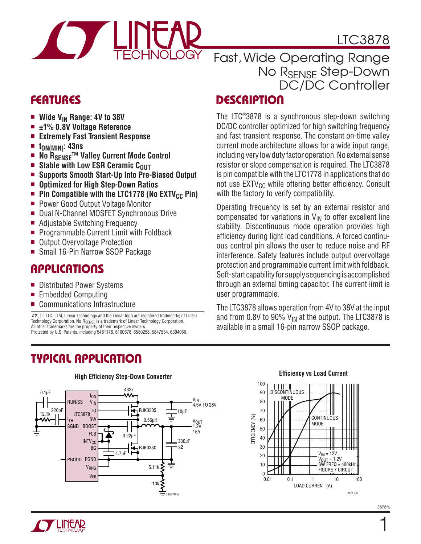

# LTC3878

# Fast, Wide Operating Range No R<sub>SENSE</sub> Step-Down DC/DC Controller

# **FEATURES**

- <sup>n</sup> **Wide VIN Range: 4V to 38V**
- <sup>n</sup> **±1% 0.8V Voltage Reference**
- <sup>n</sup> **Extremely Fast Transient Response**
- <sup>n</sup> **tON(MIN): 43ns**
- No  $R_{\text{SENSE}}$ <sup>™</sup> Valley Current Mode Control
- **E** Stable with Low ESR Ceramic C<sub>OUT</sub>
- <sup>n</sup> **Supports Smooth Start-Up Into Pre-Biased Output**
- <sup>n</sup> **Optimized for High Step-Down Ratios**
- **n Pin Compatible with the LTC1778 (No EXTV<sub>CC</sub> Pin)**<br>**Power Good Qutput Voltage Monitor**
- Power Good Output Voltage Monitor
- Dual N-Channel MOSFET Synchronous Drive
- Adjustable Switching Frequency
- **Programmable Current Limit with Foldback**
- Output Overvoltage Protection
- Small 16-Pin Narrow SSOP Package

# Applications

- Distributed Power Systems
- $\blacksquare$  Embedded Computing
- $\blacksquare$  Communications Infrastructure

 $LT$ , LT, LTC, LTM, Linear Technology and the Linear logo are registered trademarks of Linear Technology Corporation. No RSENSE is a trademark of Linear Technology Corporation. All other trademarks are the property of their respective owners. Protected by U.S. Patents, including 5481178, 6100678, 6580258, 5847554, 6304066.

# Typical Application

#### ION RUN/SS V<sub>IN</sub> ITH SGND BOOST PGOOD PGND TG **BG** VRNG VFB SW INTV<sub>CC</sub>  $FCB$  0.22µF  $0.1$ µF  $220pF$   $LTC3878$ <sup>TG</sup> **RJK0330** 0.56µH 432k<br>**WW**  $12.1k$ <sup>LL</sup>  $\overline{C}$  LTC3878  $\equiv$ 3878 TA01a 5.11k 10k V<sub>OUT</sub><br>1.2V 15A V<sub>IN</sub><br>4.5V TO 28V 4.7µF 330µF  $\times$ 10µF

# **DESCRIPTION**

The LTC®3878 is a synchronous step-down switching DC/DC controller optimized for high switching frequency and fast transient response. The constant on-time valley current mode architecture allows for a wide input range, including very low duty factor operation. No external sense resistor or slope compensation is required. The LTC3878 is pin compatible with the LTC1778 in applications that do not use  $EXTV_{CC}$  while offering better efficiency. Consult with the factory to verify compatibility.

Operating frequency is set by an external resistor and compensated for variations in  $V_{IN}$  to offer excellent line stability. Discontinuous mode operation provides high efficiency during light load conditions. A forced continuous control pin allows the user to reduce noise and RF interference. Safety features include output overvoltage protection and programmable current limit with foldback. Soft-start capability for supply sequencing is accomplished through an external timing capacitor. The current limit is user programmable.

The LTC3878 allows operation from 4V to 38V at the input and from 0.8V to 90%  $V_{IN}$  at the output. The LTC3878 is available in a small 16-pin narrow SSOP package.



#### **High Efficiency Step-Down Converter Efficiency vs Load Current**



 $\mathbf{1}$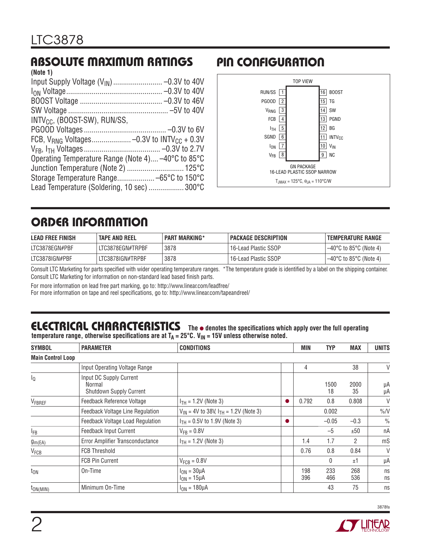# Absolute Maximum Ratings

| (Note 1)                                           |
|----------------------------------------------------|
|                                                    |
|                                                    |
|                                                    |
|                                                    |
| $INTV_{CC}$ , (BOOST-SW), RUN/SS,                  |
|                                                    |
|                                                    |
|                                                    |
| Operating Temperature Range (Note 4) -40°C to 85°C |
|                                                    |
|                                                    |
| Lead Temperature (Soldering, 10 sec)  300°C        |

# Pin Configuration



# order information

| <b>LEAD FREE FINISH</b> | <b>TAPE AND REEL</b> | <b>PART MARKING*</b> | <b>PACKAGE DESCRIPTION</b> | ' TEMPERATURE RANGE    |
|-------------------------|----------------------|----------------------|----------------------------|------------------------|
| LTC3878EGN#PBF          | LTC3878EGN#TRPBF     | 3878                 | 16-Lead Plastic SSOP       | –40°C to 85°C (Note 4) |
| LTC3878IGN#PBF          | LTC3878IGN#TRPBF     | 3878                 | 16-Lead Plastic SSOP       | –40°C to 85°C (Note 4) |

Consult LTC Marketing for parts specified with wider operating temperature ranges. \*The temperature grade is identified by a label on the shipping container. Consult LTC Marketing for information on non-standard lead based finish parts.

For more information on lead free part marking, go to: http://www.linear.com/leadfree/ For more information on tape and reel specifications, go to: http://www.linear.com/tapeandreel/

# Electrical Characteristics **The** l **denotes the specifications which apply over the full operating**

**temperature** range, otherwise specifications are at  $T_A = 25^\circ$ C.  $V_{1N} = 15V$  unless otherwise noted.

| <b>SYMBOL</b>            | <b>PARAMETER</b>                                             | <b>CONDITIONS</b>                              |  | MIN        | <b>TYP</b> | <b>MAX</b>     | <b>UNITS</b>  |
|--------------------------|--------------------------------------------------------------|------------------------------------------------|--|------------|------------|----------------|---------------|
| <b>Main Control Loop</b> |                                                              |                                                |  |            |            |                |               |
|                          | Input Operating Voltage Range                                |                                                |  | 4          |            | 38             | V             |
| l٥                       | Input DC Supply Current<br>Normal<br>Shutdown Supply Current |                                                |  |            | 1500<br>18 | 2000<br>35     | μA<br>μA      |
| VFBREF                   | Feedback Reference Voltage                                   | $I_{TH} = 1.2V$ (Note 3)                       |  | 0.792      | 0.8        | 0.808          | V             |
|                          | Feedback Voltage Line Regulation                             | $V_{IN}$ = 4V to 38V, $I_{TH}$ = 1.2V (Note 3) |  |            | 0.002      |                | $\%N$         |
|                          | Feedback Voltage Load Regulation                             | $I_{TH} = 0.5V$ to 1.9V (Note 3)               |  |            | $-0.05$    | $-0.3$         | $\frac{0}{0}$ |
| l <sub>FB</sub>          | Feedback Input Current                                       | $V_{FB} = 0.8V$                                |  |            | $-5$       | ±50            | nA            |
| $g_{m(EA)}$              | Error Amplifier Transconductance                             | $I_{TH} = 1.2V$ (Note 3)                       |  | 1.4        | 1.7        | $\overline{2}$ | mS            |
| V <sub>FCB</sub>         | <b>FCB Threshold</b>                                         |                                                |  | 0.76       | 0.8        | 0.84           | V             |
|                          | <b>FCB Pin Current</b>                                       | $V_{FCB} = 0.8V$                               |  |            | 0          | ±1             | μA            |
| ton                      | On-Time                                                      | $I_{ON} = 30 \mu A$<br>$I_{ON} = 15 \mu A$     |  | 198<br>396 | 233<br>466 | 268<br>536     | ns<br>ns      |
| $t_{ON(MIN)}$            | Minimum On-Time                                              | $I_{ON} = 180 \mu A$                           |  |            | 43         | 75             | ns            |

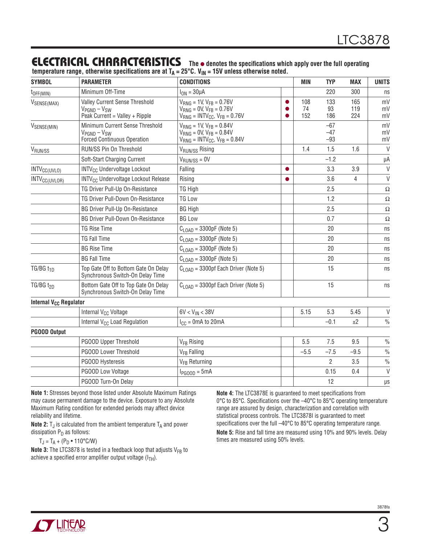### Electrical Characteristics **The** <sup>l</sup> **denotes the specifications which apply over the full operating**

**temperature range, otherwise specifications are at TA = 25°C. VIN = 15V unless otherwise noted.**

| <b>SYMBOL</b>                      | <b>PARAMETER</b>                                                                             | <b>CONDITIONS</b>                                                                                                          |           | <b>MIN</b>       | <b>TYP</b>              | <b>MAX</b>        | <b>UNITS</b>   |
|------------------------------------|----------------------------------------------------------------------------------------------|----------------------------------------------------------------------------------------------------------------------------|-----------|------------------|-------------------------|-------------------|----------------|
| $t_{OFF(MIN)}$                     | Minimum Off-Time                                                                             | $I_{ON} = 30 \mu A$                                                                                                        |           |                  | 220                     | 300               | ns             |
| VSENSE(MAX)                        | Valley Current Sense Threshold<br>$V_{PGND} - V_{SW}$<br>Peak Current = Valley + Ripple      | $V_{RNG}$ = 1V, $V_{FB}$ = 0.76V<br>$V_{RNG} = 0V$ , $V_{FR} = 0.76V$<br>$V_{RNG}$ = INTV <sub>CC</sub> , $V_{FB}$ = 0.76V |           | 108<br>74<br>152 | 133<br>93<br>186        | 165<br>119<br>224 | mV<br>mV<br>mV |
| VSENSE(MIN)                        | Minimum Current Sense Threshold<br>$V_{PGND} - V_{SW}$<br><b>Forced Continuous Operation</b> | $V_{RNG}$ = 1V, $V_{FB}$ = 0.84V<br>$V_{RNG} = 0V$ , $V_{FR} = 0.84V$<br>$V_{RNG}$ = INTV <sub>CC</sub> , $V_{FB}$ = 0.84V |           |                  | $-67$<br>$-47$<br>$-93$ |                   | mV<br>mV<br>mV |
| V <sub>RUN/SS</sub>                | RUN/SS Pin On Threshold                                                                      | V <sub>RUN/SS</sub> Rising                                                                                                 |           | 1.4              | 1.5                     | 1.6               | $\vee$         |
|                                    | Soft-Start Charging Current                                                                  | $V_{\text{RUN/SS}} = 0V$                                                                                                   |           |                  | $-1.2$                  |                   | μA             |
| INTV <sub>CC(UVLO)</sub>           | <b>INTV<sub>CC</sub></b> Undervoltage Lockout                                                | Falling                                                                                                                    | $\bullet$ |                  | 3.3                     | 3.9               | $\vee$         |
| INTV <sub>CC(UVLOR)</sub>          | <b>INTV<sub>CC</sub></b> Undervoltage Lockout Release                                        | Rising                                                                                                                     | $\bullet$ |                  | 3.6                     | 4                 | $\vee$         |
|                                    | TG Driver Pull-Up On-Resistance                                                              | TG High                                                                                                                    |           |                  | 2.5                     |                   | $\Omega$       |
|                                    | TG Driver Pull-Down On-Resistance                                                            | <b>TG Low</b>                                                                                                              |           |                  | 1.2                     |                   | $\Omega$       |
|                                    | <b>BG Driver Pull-Up On-Resistance</b>                                                       | <b>BG High</b>                                                                                                             |           |                  | 2.5                     |                   | $\Omega$       |
|                                    | <b>BG Driver Pull-Down On-Resistance</b>                                                     | <b>BG Low</b>                                                                                                              |           |                  | 0.7                     |                   | $\Omega$       |
|                                    | <b>TG Rise Time</b>                                                                          | $C_{\text{LOAD}}$ = 3300pF (Note 5)                                                                                        |           |                  | 20                      |                   | ns             |
|                                    | <b>TG Fall Time</b>                                                                          | $C_{1 \text{ OAD}}$ = 3300pF (Note 5)                                                                                      |           |                  | 20                      |                   | ns             |
|                                    | <b>BG Rise Time</b>                                                                          | $C_{1 \text{ OAD}} = 3300pF$ (Note 5)                                                                                      |           |                  | 20                      |                   | ns             |
|                                    | <b>BG Fall Time</b>                                                                          | $C_{\text{LOAD}}$ = 3300pF (Note 5)                                                                                        |           |                  | 20                      |                   | ns             |
| TG/BG $t_{1D}$                     | Top Gate Off to Bottom Gate On Delay<br>Synchronous Switch-On Delay Time                     | $C1$ o <sub>AD</sub> = 3300pf Each Driver (Note 5)                                                                         |           |                  | 15                      |                   | ns             |
| $TG/BG$ $t_{2D}$                   | Bottom Gate Off to Top Gate On Delay<br>Synchronous Switch-On Delay Time                     | $C1$ <sub>OAD</sub> = 3300pf Each Driver (Note 5)                                                                          |           |                  | 15                      |                   | ns             |
| Internal V <sub>CC</sub> Regulator |                                                                                              |                                                                                                                            |           |                  |                         |                   |                |
|                                    | Internal V <sub>CC</sub> Voltage                                                             | $6V < V_{IN} < 38V$                                                                                                        |           | 5.15             | 5.3                     | 5.45              | $\vee$         |
|                                    | Internal V <sub>CC</sub> Load Regulation                                                     | $I_{CC} = 0$ mA to 20mA                                                                                                    |           |                  | $-0.1$                  | ±2                | $\frac{0}{0}$  |
| <b>PGOOD Output</b>                |                                                                                              |                                                                                                                            |           |                  |                         |                   |                |
|                                    | <b>PGOOD Upper Threshold</b>                                                                 | V <sub>FB</sub> Rising                                                                                                     |           | 5.5              | 7.5                     | 9.5               | $\frac{0}{0}$  |
|                                    | PGOOD Lower Threshold                                                                        | V <sub>FR</sub> Falling                                                                                                    |           | $-5.5$           | $-7.5$                  | $-9.5$            | $\frac{0}{0}$  |
|                                    | PGOOD Hysteresis                                                                             | V <sub>FB</sub> Returning                                                                                                  |           |                  | $\overline{2}$          | 3.5               | $\frac{0}{0}$  |
|                                    | PGOOD Low Voltage                                                                            | $I_{PGOOD} = 5mA$                                                                                                          |           |                  | 0.15                    | 0.4               | $\vee$         |
|                                    | PGOOD Turn-On Delay                                                                          |                                                                                                                            |           |                  | 12                      |                   | $\mu s$        |

**Note 1:** Stresses beyond those listed under Absolute Maximum Ratings may cause permanent damage to the device. Exposure to any Absolute Maximum Rating condition for extended periods may affect device reliability and lifetime.

**Note 2:**  $T_J$  is calculated from the ambient temperature  $T_A$  and power dissipation  $P_D$  as follows:

 $T_J = T_A + (P_D \cdot 110^{\circ} C/W)$ 

**Note 3:** The LTC3878 is tested in a feedback loop that adjusts V<sub>FB</sub> to achieve a specified error amplifier output voltage  $(I_{TH})$ .

**Note 4:** The LTC3878E is guaranteed to meet specifications from 0°C to 85°C. Specifications over the –40°C to 85°C operating temperature range are assured by design, characterization and correlation with statistical process controls. The LTC3878I is guaranteed to meet specifications over the full –40°C to 85°C operating temperature range. **Note 5:** Rise and fall time are measured using 10% and 90% levels. Delay times are measured using 50% levels.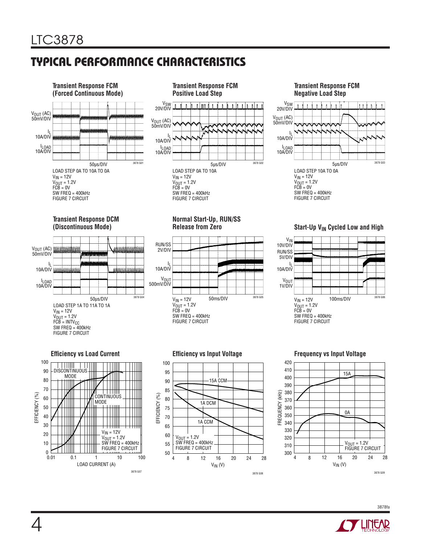# Typical Performance Characteristics





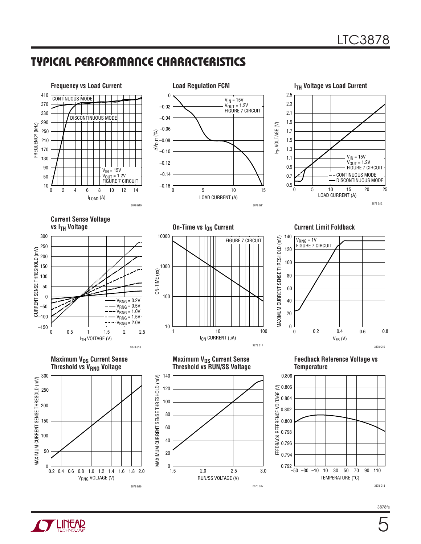# Typical Performance Characteristics



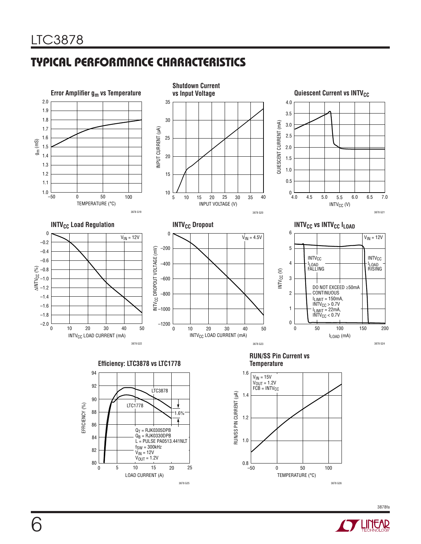# Typical Performance Characteristics



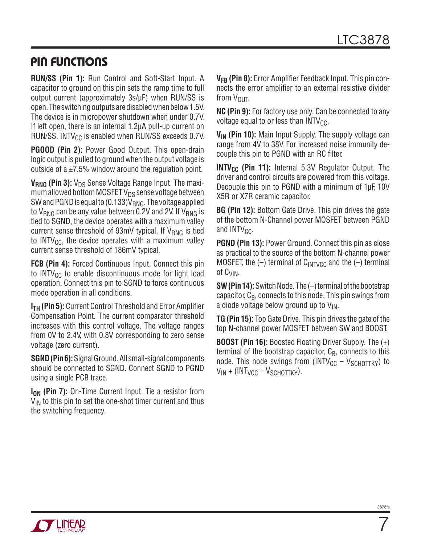### Pin Functions

**RUN/SS (Pin 1):** Run Control and Soft-Start Input. A capacitor to ground on this pin sets the ramp time to full output current (approximately 3s/µF) when RUN/SS is open. The switching outputs are disabled when below 1.5V. The device is in micropower shutdown when under 0.7V. If left open, there is an internal 1.2µA pull-up current on RUN/SS. INTV $_{\text{CC}}$  is enabled when RUN/SS exceeds 0.7V.

**PGOOD (Pin 2):** Power Good Output. This open-drain logic output is pulled to ground when the output voltage is outside of a  $\pm$ 7.5% window around the regulation point.

**V<sub>RNG</sub>** (Pin 3): V<sub>DS</sub> Sense Voltage Range Input. The maximum allowed bottom MOSFET  $V_{DS}$  sense voltage between SW and PGND is equal to (0.133) $V_{RNG}$ . The voltage applied to  $V_{RNG}$  can be any value between 0.2V and 2V. If  $V_{RNG}$  is tied to SGND, the device operates with a maximum valley current sense threshold of 93mV typical. If  $V_{RNG}$  is tied to INTV<sub>CC</sub>, the device operates with a maximum valley current sense threshold of 186mV typical.

**FCB (Pin 4):** Forced Continuous Input. Connect this pin to INTV $_{\text{CC}}$  to enable discontinuous mode for light load operation. Connect this pin to SGND to force continuous mode operation in all conditions.

**I<sub>TH</sub>** (Pin 5): Current Control Threshold and Error Amplifier Compensation Point. The current comparator threshold increases with this control voltage. The voltage ranges from 0V to 2.4V, with 0.8V corresponding to zero sense voltage (zero current).

**SGND(Pin6):**SignalGround.All small-signal components should be connected to SGND. Connect SGND to PGND using a single PCB trace.

**I<sub>ON</sub>** (Pin 7): On-Time Current Input. Tie a resistor from  $V_{IN}$  to this pin to set the one-shot timer current and thus the switching frequency.

**VFB (Pin 8):** Error Amplifier Feedback Input. This pin connects the error amplifier to an external resistive divider from  $V_{\text{OUT}}$ .

**NC (Pin 9):** For factory use only. Can be connected to any voltage equal to or less than  $INTV_{CC}$ .

**V<sub>IN</sub>** (Pin 10): Main Input Supply. The supply voltage can range from 4V to 38V. For increased noise immunity decouple this pin to PGND with an RC filter.

**INTV<sub>CC</sub>** (Pin 11): Internal 5.3V Regulator Output. The driver and control circuits are powered from this voltage. Decouple this pin to PGND with a minimum of 1µF, 10V X5R or X7R ceramic capacitor.

**BG (Pin 12):** Bottom Gate Drive. This pin drives the gate of the bottom N-Channel power MOSFET between PGND and  $INTV_{CC}$ .

**PGND (Pin 13):** Power Ground. Connect this pin as close as practical to the source of the bottom N-channel power MOSFET, the  $(-)$  terminal of C<sub>INTVCC</sub> and the  $(-)$  terminal of CVIN.

**SW (Pin 14):** Switch Node. The (-) terminal of the bootstrap capacitor,  $C_{\text{B}}$ , connects to this node. This pin swings from a diode voltage below ground up to  $V_{IN}$ .

**TG (Pin 15):** Top Gate Drive. This pin drives the gate of the top N-channel power MOSFET between SW and BOOST.

**BOOST (Pin 16):** Boosted Floating Driver Supply. The (+) terminal of the bootstrap capacitor,  $C_B$ , connects to this node. This node swings from (INTV<sub>CC</sub> – V<sub>SCHOTTKY</sub>) to  $V_{IN} + (INT_{VCC} - V_{SCHOTTKY}).$ 



 $\overline{7}$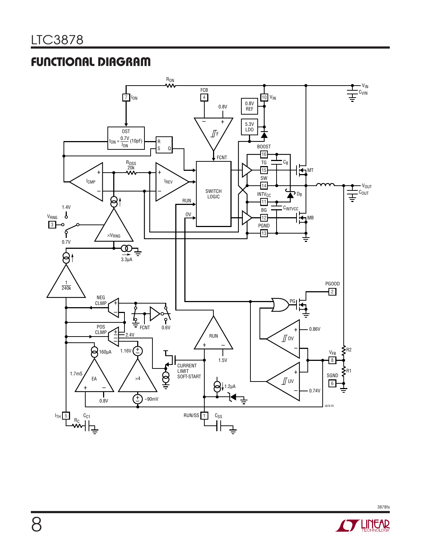# Functional Diagram



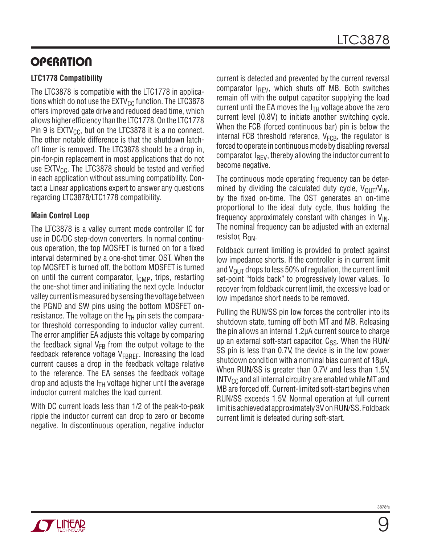# **OPERATION**

### **LTC1778 Compatibility**

The LTC3878 is compatible with the LTC1778 in applications which do not use the  $\text{EXTV}_{\text{CC}}$  function. The LTC3878 offers improved gate drive and reduced dead time, which allows higher efficiency than the LTC1778.On the LTC1778 Pin 9 is  $EXTV_{CC}$ , but on the LTC3878 it is a no connect. The other notable difference is that the shutdown latchoff timer is removed. The LTC3878 should be a drop in, pin-for-pin replacement in most applications that do not use  $EXTV_{CC}$ . The LTC3878 should be tested and verified in each application without assuming compatibility. Contact a Linear applications expert to answer any questions regarding LTC3878/LTC1778 compatibility.

### **Main Control Loop**

The LTC3878 is a valley current mode controller IC for use in DC/DC step-down converters. In normal continuous operation, the top MOSFET is turned on for a fixed interval determined by a one-shot timer, OST. When the top MOSFET is turned off, the bottom MOSFET is turned on until the current comparator,  $I_{\text{CMP}}$ , trips, restarting the one-shot timer and initiating the next cycle. Inductor valley current is measured by sensing the voltage between the PGND and SW pins using the bottom MOSFET onresistance. The voltage on the  $I<sub>TH</sub>$  pin sets the comparator threshold corresponding to inductor valley current. The error amplifier EA adjusts this voltage by comparing the feedback signal  $V_{FB}$  from the output voltage to the feedback reference voltage  $V_{FBRFF}$ . Increasing the load current causes a drop in the feedback voltage relative to the reference. The EA senses the feedback voltage drop and adjusts the  $I<sub>TH</sub>$  voltage higher until the average inductor current matches the load current.

With DC current loads less than 1/2 of the peak-to-peak ripple the inductor current can drop to zero or become negative. In discontinuous operation, negative inductor current is detected and prevented by the current reversal comparator  $I_{RFV}$ , which shuts off MB. Both switches remain off with the output capacitor supplying the load current until the EA moves the  $I<sub>TH</sub>$  voltage above the zero current level (0.8V) to initiate another switching cycle. When the FCB (forced continuous bar) pin is below the internal FCB threshold reference,  $V_{FCR}$ , the regulator is forced to operate in continuous mode by disabling reversal comparator,  $I_{RFV}$ , thereby allowing the inductor current to become negative.

The continuous mode operating frequency can be determined by dividing the calculated duty cycle,  $V_{\text{OUT}}/V_{\text{IN}}$ , by the fixed on-time. The OST generates an on-time proportional to the ideal duty cycle, thus holding the frequency approximately constant with changes in  $V_{IN}$ . The nominal frequency can be adjusted with an external resistor,  $R_{ON}$ .

Foldback current limiting is provided to protect against low impedance shorts. If the controller is in current limit and  $V_{\text{OUT}}$  drops to less 50% of regulation, the current limit set-point "folds back" to progressively lower values. To recover from foldback current limit, the excessive load or low impedance short needs to be removed.

Pulling the RUN/SS pin low forces the controller into its shutdown state, turning off both MT and MB. Releasing the pin allows an internal 1.2µA current source to charge up an external soft-start capacitor,  $C_{SS}$ . When the RUN/ SS pin is less than 0.7V, the device is in the low power shutdown condition with a nominal bias current of 18µA. When RUN/SS is greater than 0.7V and less than 1.5V,  $INTV_{CC}$  and all internal circuitry are enabled while MT and MB are forced off. Current-limited soft-start begins when RUN/SS exceeds 1.5V. Normal operation at full current limit is achieved at approximately 3V on RUN/SS. Foldback current limit is defeated during soft-start.

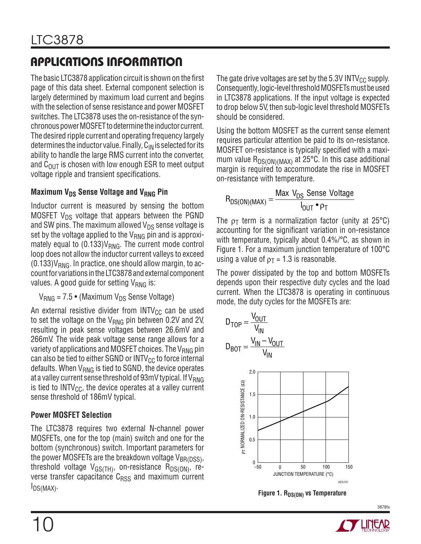The basic LTC3878 application circuit is shown on the first page of this data sheet. External component selection is largely determined by maximum load current and begins with the selection of sense resistance and power MOSFET switches. The LTC3878 uses the on-resistance of the synchronous power MOSFET to determine the inductor current. The desired ripple current and operating frequency largely determines the inductor value. Finally,  $C_{IN}$  is selected for its ability to handle the large RMS current into the converter, and  $C_{OUT}$  is chosen with low enough ESR to meet output voltage ripple and transient specifications.

#### **Maximum V<sub>DS</sub> Sense Voltage and V<sub>RNG</sub> Pin**

Inductor current is measured by sensing the bottom MOSFET  $V_{DS}$  voltage that appears between the PGND and SW pins. The maximum allowed  $V_{DS}$  sense voltage is set by the voltage applied to the  $V_{RNG}$  pin and is approximately equal to  $(0.133)V_{RNG}$ . The current mode control loop does not allow the inductor current valleys to exceed  $(0.133)V_{RNG}$ . In practice, one should allow margin, to accountfor variations intheLTC3878andexternal component values. A good guide for setting  $V_{RNG}$  is:

 $V_{RNG}$  = 7.5 • (Maximum  $V_{DS}$  Sense Voltage)

An external resistive divider from  $INTV_{CC}$  can be used to set the voltage on the  $V_{RNG}$  pin between 0.2V and 2V, resulting in peak sense voltages between 26.6mV and 266mV. The wide peak voltage sense range allows for a variety of applications and MOSFET choices. The  $V_{RNG}$  pin can also be tied to either SGND or  $INTV_{CC}$  to force internal defaults. When  $V_{RNG}$  is tied to SGND, the device operates at a valley current sense threshold of 93mV typical. If V<sub>RNG</sub> is tied to  $INTV_{CC}$ , the device operates at a valley current sense threshold of 186mV typical.

#### **Power MOSFET Selection**

The LTC3878 requires two external N-channel power MOSFETs, one for the top (main) switch and one for the bottom (synchronous) switch. Important parameters for the power MOSFETs are the breakdown voltage  $V_{BR(DSS)}$ , threshold voltage  $V_{GS(TH)}$ , on-resistance  $R_{DS(ON)}$ , reverse transfer capacitance  $C<sub>RSS</sub>$  and maximum current IDS(MAX).

The gate drive voltages are set by the 5.3V INTV $_{\rm CC}$  supply. Consequently, logic-level threshold MOSFETs must be used in LTC3878 applications. If the input voltage is expected to drop below 5V, then sub-logic level threshold MOSFETs should be considered.

Using the bottom MOSFET as the current sense element requires particular attention be paid to its on-resistance. MOSFET on-resistance is typically specified with a maximum value  $R_{DS(ON)(MAX)}$  at 25°C. In this case additional margin is required to accommodate the rise in MOSFET on-resistance with temperature.

$$
R_{DS(ON)(MAX)} = \frac{Max \ V_{DS} \ Sense \ Voltag{Out } \ P_{T}}
$$

The  $\rho_T$  term is a normalization factor (unity at 25 $\degree$ C) accounting for the significant variation in on-resistance with temperature, typically about 0.4%/°C, as shown in Figure 1. For a maximum junction temperature of 100°C using a value of  $p_T = 1.3$  is reasonable.

The power dissipated by the top and bottom MOSFETs depends upon their respective duty cycles and the load current. When the LTC3878 is operating in continuous mode, the duty cycles for the MOSFETs are:



**Figure 1. R**<sub>DS(ON)</sub> vs Temperature

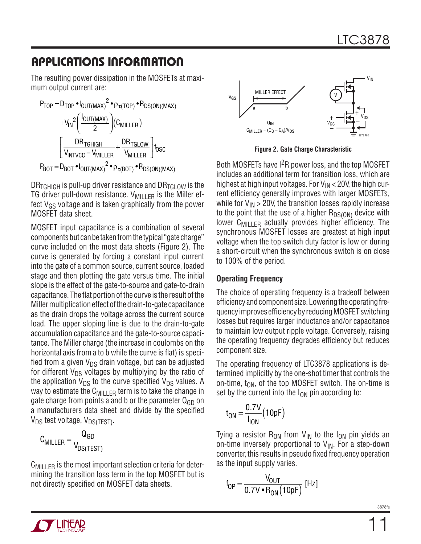The resulting power dissipation in the MOSFETs at maximum output current are:

$$
P_{TOP} = D_{TOP} \cdot I_{OUT(MAX)}^2 \cdot \rho_{\tau(TOP)} \cdot R_{DS(ON)(MAX)} + V_{IN}^2 \left( \frac{I_{OUT(MAX)}}{2} \right) (C_{MILLER}) \n\left[ \frac{DR_{TGHIGH}}{V_{INTVCC} - V_{MILLER}} + \frac{DR_{TGLOW}}{V_{MILLER}} \right] t_{OSC} P_{BOT} = D_{BOT} \cdot I_{OUT(MAX)}^2 \cdot \rho_{\tau(BOT)} \cdot R_{DS(ON)(MAX)}
$$

 $DR_{TGHIGH}$  is pull-up driver resistance and  $DR_{TGI\,OW}$  is the TG driver pull-down resistance.  $V_{\text{MILLER}}$  is the Miller effect  $V_{GS}$  voltage and is taken graphically from the power MOSFET data sheet.

MOSFET input capacitance is a combination of several components but can be taken from the typical "gate charge" curve included on the most data sheets (Figure 2). The curve is generated by forcing a constant input current into the gate of a common source, current source, loaded stage and then plotting the gate versus time. The initial slope is the effect of the gate-to-source and gate-to-drain capacitance. The flat portion ofthe curve is the result ofthe Miller multiplication effect of the drain-to-gate capacitance as the drain drops the voltage across the current source load. The upper sloping line is due to the drain-to-gate accumulation capacitance and the gate-to-source capacitance. The Miller charge (the increase in coulombs on the horizontal axis from a to b while the curve is flat) is specified from a given  $V_{DS}$  drain voltage, but can be adjusted for different  $V_{DS}$  voltages by multiplying by the ratio of the application  $V_{DS}$  to the curve specified  $V_{DS}$  values. A way to estimate the C<sub>MILLER</sub> term is to take the change in gate charge from points a and b or the parameter  $Q_{GD}$  on a manufacturers data sheet and divide by the specified  $V_{DS}$  test voltage,  $V_{DS(TFST)}$ .

$$
C_{MILLER} = \frac{Q_{GD}}{V_{DS(TEST)}}
$$

 $C_{\text{MII} \perp \text{FR}}$  is the most important selection criteria for determining the transition loss term in the top MOSFET but is not directly specified on MOSFET data sheets.



**Figure 2. Gate Charge Characteristic**

Both MOSFETs have I<sup>2</sup>R power loss, and the top MOSFET includes an additional term for transition loss, which are highest at high input voltages. For  $V_{IN}$  < 20V, the high current efficiency generally improves with larger MOSFETs, while for  $V_{IN}$  > 20V, the transition losses rapidly increase to the point that the use of a higher  $R_{DS(ON)}$  device with lower  $C_{\text{MII}}$   $_{\text{F}}$  actually provides higher efficiency. The synchronous MOSFET losses are greatest at high input voltage when the top switch duty factor is low or during a short-circuit when the synchronous switch is on close to 100% of the period.

#### **Operating Frequency**

The choice of operating frequency is a tradeoff between efficiency and component size. Lowering the operating frequencyimprovesefficiencybyreducingMOSFETswitching losses but requires larger inductance and/or capacitance to maintain low output ripple voltage. Conversely, raising the operating frequency degrades efficiency but reduces component size.

The operating frequency of LTC3878 applications is determined implicitly by the one-shot timer that controls the on-time,  $t_{ON}$ , of the top MOSFET switch. The on-time is set by the current into the  $I_{ON}$  pin according to:

$$
t_{ON} = \frac{0.7V}{I_{ION}}(10pF)
$$

Tying a resistor  $R_{ON}$  from  $V_{IN}$  to the  $I_{ON}$  pin yields an on-time inversely proportional to  $V_{IN}$ . For a step-down converter, this results in pseudo fixed frequency operation as the input supply varies.

$$
f_{OP} = \frac{V_{OUT}}{0.7 \text{V} \cdot R_{ON}(10 \text{pF})} \text{ [Hz]}
$$

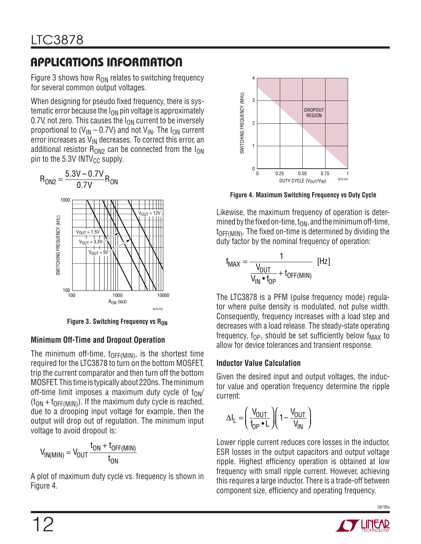Figure 3 shows how  $R_{ON}$  relates to switching frequency for several common output voltages.

When designing for pseudo fixed frequency, there is systematic error because the  $I_{ON}$  pin voltage is approximately 0.7V, not zero. This causes the  $I_{ON}$  current to be inversely proportional to  $(V_{IN} - 0.7V)$  and not  $V_{IN}$ . The I<sub>ON</sub> current error increases as  $V_{IN}$  decreases. To correct this error, an additional resistor  $R_{ON2}$  can be connected from the  $I_{ON}$ pin to the  $5.3V$  INTV $_{CC}$  supply.



**Figure** 3. Switching Frequency vs R<sub>ON</sub>

#### **Minimum Off-Time and Dropout Operation**

The minimum off-time,  $t_{\text{OFF(MIN)}}$ , is the shortest time required for the LTC3878 to turn on the bottom MOSFET, trip the current comparator and then turn off the bottom MOSFET. This time is typically about 220ns. The minimum off-time limit imposes a maximum duty cycle of  $t_{ON}/$  $(t_{ON} + t_{OFF(MIN)})$ . If the maximum duty cycle is reached, due to a drooping input voltage for example, then the output will drop out of regulation. The minimum input voltage to avoid dropout is:

$$
V_{IN(MIN)} = V_{OUT} \frac{t_{ON} + t_{OFF(MIN)}}{t_{ON}}
$$

A plot of maximum duty cycle vs. frequency is shown in Figure 4.



**Figure 4. Maximum Switching Frequency vs Duty Cycle**

Likewise, the maximum frequency of operation is determined by the fixed on-time,  $t_{ON}$ , and the minimum off-time,  $t_{\text{OFF(MIN)}}$ . The fixed on-time is determined by dividing the duty factor by the nominal frequency of operation:

$$
f_{MAX} = \frac{1}{\frac{V_{OUT}}{V_{IN} \cdot f_{OP}} + t_{OFF(MIN)}} \quad [Hz]
$$

The LTC3878 is a PFM (pulse frequency mode) regulator where pulse density is modulated, not pulse width. Consequently, frequency increases with a load step and decreases with a load release. The steady-state operating frequency,  $f_{OP}$ , should be set sufficiently below  $f_{MAX}$  to allow for device tolerances and transient response.

#### **Inductor Value Calculation**

Given the desired input and output voltages, the inductor value and operation frequency determine the ripple current:

$$
\Delta I_L = \left(\frac{V_{OUT}}{f_{OP} \cdot L}\right) \left(1 - \frac{V_{OUT}}{V_{IN}}\right)
$$

Lower ripple current reduces core losses in the inductor, ESR losses in the output capacitors and output voltage ripple. Highest efficiency operation is obtained at low frequency with small ripple current. However, achieving this requires a large inductor. There is a trade-off between component size, efficiency and operating frequency.

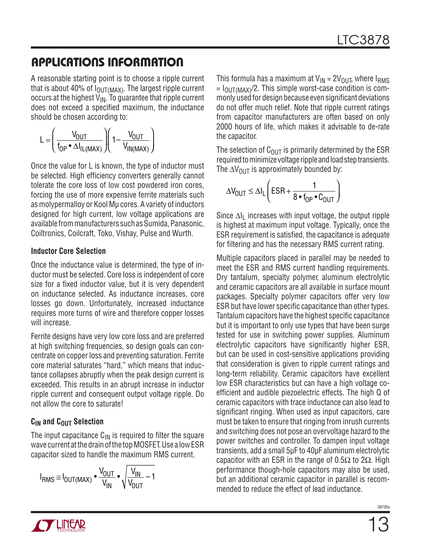A reasonable starting point is to choose a ripple current that is about 40% of  $I_{\text{OUT}(MAX)}$ . The largest ripple current occurs at the highest  $V_{IN}$ . To guarantee that ripple current does not exceed a specified maximum, the inductance should be chosen according to:

$$
L = \left(\frac{V_{OUT}}{f_{OP} \cdot \Delta I_{IL(MAX)}}\right) \left(1 - \frac{V_{OUT}}{V_{IN(MAX)}}\right)
$$

Once the value for L is known, the type of inductor must be selected. High efficiency converters generally cannot tolerate the core loss of low cost powdered iron cores, forcing the use of more expensive ferrite materials such as molypermalloy or Kool Mµ cores. A variety of inductors designed for high current, low voltage applications are available from manufacturers such as Sumida, Panasonic, Coiltronics, Coilcraft, Toko, Vishay, Pulse and Wurth.

#### **Inductor Core Selection**

Once the inductance value is determined, the type of inductor must be selected. Core loss is independent of core size for a fixed inductor value, but it is very dependent on inductance selected. As inductance increases, core losses go down. Unfortunately, increased inductance requires more turns of wire and therefore copper losses will increase.

Ferrite designs have very low core loss and are preferred at high switching frequencies, so design goals can concentrate on copper loss and preventing saturation. Ferrite core material saturates "hard," which means that inductance collapses abruptly when the peak design current is exceeded. This results in an abrupt increase in inductor ripple current and consequent output voltage ripple. Do not allow the core to saturate!

#### $C<sub>IN</sub>$  and  $C<sub>OUT</sub>$  Selection

The input capacitance  $C_{\text{IN}}$  is required to filter the square wave current at the drain of the top MOSFET. Use a low ESR capacitor sized to handle the maximum RMS current.

$$
I_{RMS} \cong I_{OUT(MAX)} \bullet \frac{V_{OUT}}{V_{IN}} \bullet \sqrt{\frac{V_{IN}}{V_{OUT}}-1}
$$

This formula has a maximum at  $V_{IN} = 2V_{OUT}$ , where  $I_{RMS}$  $= I_{\text{OUT}(MAX)} / 2$ . This simple worst-case condition is commonly used for design because even significant deviations do not offer much relief. Note that ripple current ratings from capacitor manufacturers are often based on only 2000 hours of life, which makes it advisable to de-rate the capacitor.

The selection of  $C_{\text{OUT}}$  is primarily determined by the ESR required to minimize voltage ripple and load step transients. The  $\Delta V_{\text{OUT}}$  is approximately bounded by:

$$
\Delta V_{\text{OUT}} \leq \Delta I_{L} \left( \text{ESR} + \frac{1}{8 \cdot f_{\text{OP}} \cdot C_{\text{OUT}}} \right)
$$

Since  $\Delta I_1$  increases with input voltage, the output ripple is highest at maximum input voltage. Typically, once the ESR requirement is satisfied, the capacitance is adequate for filtering and has the necessary RMS current rating.

Multiple capacitors placed in parallel may be needed to meet the ESR and RMS current handling requirements. Dry tantalum, specialty polymer, aluminum electrolytic and ceramic capacitors are all available in surface mount packages. Specialty polymer capacitors offer very low ESR but have lower specific capacitance than other types. Tantalumcapacitors have the highest specific capacitance but it is important to only use types that have been surge tested for use in switching power supplies. Aluminum electrolytic capacitors have significantly higher ESR, but can be used in cost-sensitive applications providing that consideration is given to ripple current ratings and long-term reliability. Ceramic capacitors have excellent low ESR characteristics but can have a high voltage coefficient and audible piezoelectric effects. The high Q of ceramic capacitors with trace inductance can also lead to significant ringing. When used as input capacitors, care must be taken to ensure that ringing from inrush currents and switching does not pose an overvoltage hazard to the power switches and controller. To dampen input voltage transients, add a small 5µF to 40µF aluminum electrolytic capacitor with an ESR in the range of 0.5Ω to 2Ω. High performance though-hole capacitors may also be used, but an additional ceramic capacitor in parallel is recommended to reduce the effect of lead inductance.

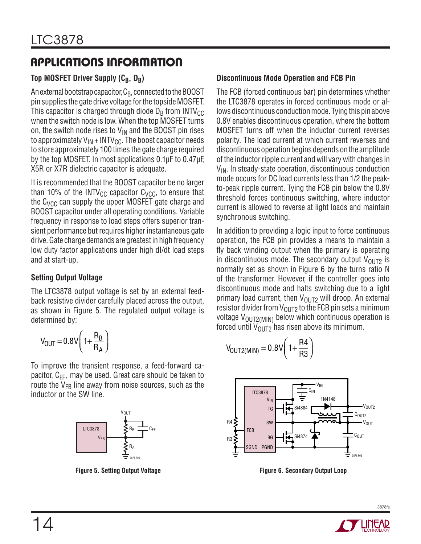### **Top MOSFET Driver Supply (CB, DB)**

An external bootstrap capacitor,  $C_B$ , connected to the BOOST pin supplies the gate drive voltage for the topside MOSFET. This capacitor is charged through diode  $D_B$  from INTV<sub>CC</sub> when the switch node is low. When the top MOSFET turns on, the switch node rises to  $V_{IN}$  and the BOOST pin rises to approximately  $V_{IN}$  + INTV<sub>CC</sub>. The boost capacitor needs to store approximately 100 times the gate charge required by the top MOSFET. In most applications 0.1µF to 0.47µF, X5R or X7R dielectric capacitor is adequate.

It is recommended that the BOOST capacitor be no larger than 10% of the INTV<sub>CC</sub> capacitor  $C_{VCC}$ , to ensure that the  $C_{VCC}$  can supply the upper MOSFET gate charge and BOOST capacitor under all operating conditions. Variable frequency in response to load steps offers superior transient performance but requires higher instantaneous gate drive.Gate charge demands are greatest in high frequency low duty factor applications under high dI/dt load steps and at start-up.

#### **Setting Output Voltage**

The LTC3878 output voltage is set by an external feedback resistive divider carefully placed across the output, as shown in Figure 5. The regulated output voltage is determined by:

$$
V_{OUT} = 0.8V \left(1 + \frac{R_B}{R_A}\right)
$$

To improve the transient response, a feed-forward capacitor,  $C_{FF}$ , may be used. Great care should be taken to route the  $V_{FB}$  line away from noise sources, such as the inductor or the SW line.



#### **Discontinuous Mode Operation and FCB Pin**

The FCB (forced continuous bar) pin determines whether the LTC3878 operates in forced continuous mode or allows discontinuous conduction mode. Tying this pin above 0.8V enables discontinuous operation, where the bottom MOSFET turns off when the inductor current reverses polarity. The load current at which current reverses and discontinuous operation begins depends on the amplitude of the inductor ripple current and will vary with changes in  $V_{IN}$ . In steady-state operation, discontinuous conduction mode occurs for DC load currents less than 1/2 the peakto-peak ripple current. Tying the FCB pin below the 0.8V threshold forces continuous switching, where inductor current is allowed to reverse at light loads and maintain synchronous switching.

In addition to providing a logic input to force continuous operation, the FCB pin provides a means to maintain a fly back winding output when the primary is operating in discontinuous mode. The secondary output  $V_{OUT2}$  is normally set as shown in Figure 6 by the turns ratio N of the transformer. However, if the controller goes into discontinuous mode and halts switching due to a light primary load current, then  $V_{OUT2}$  will droop. An external resistor divider from  $V_{\text{OUT2}}$  to the FCB pin sets a minimum voltage  $V_{\text{OUT2(MIN)}}$  below which continuous operation is forced until  $V_{OUT2}$  has risen above its minimum.

$$
V_{OUT2(MIN)} = 0.8V\left(1 + \frac{R4}{R3}\right)
$$



**Figure 5. Setting Output Voltage Figure 6. Secondary Output Loop**

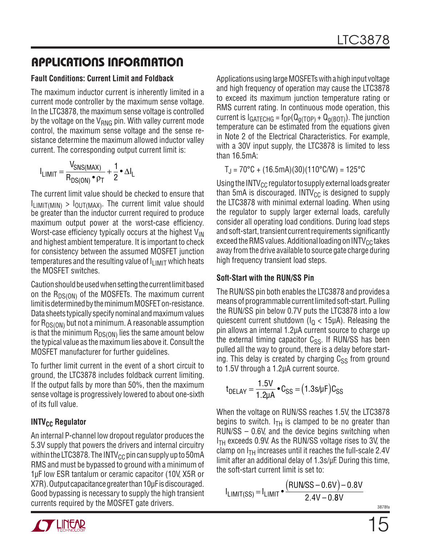#### **Fault Conditions: Current Limit and Foldback**

The maximum inductor current is inherently limited in a current mode controller by the maximum sense voltage. In the LTC3878, the maximum sense voltage is controlled by the voltage on the  $V_{RNG}$  pin. With valley current mode control, the maximum sense voltage and the sense resistance determine the maximum allowed inductor valley current. The corresponding output current limit is:

$$
I_{LIMIT} = \frac{V_{SNS(MAX)}}{R_{DS(ON)} \cdot \rho_T} + \frac{1}{2} \cdot \Delta I_L
$$

The current limit value should be checked to ensure that  $I_{\text{I}\text{I}\text{MIT}(\text{MIN})} > I_{\text{OUT}(\text{MAX})}$ . The current limit value should be greater than the inductor current required to produce maximum output power at the worst-case efficiency. Worst-case efficiency typically occurs at the highest  $V_{\text{IN}}$ and highest ambient temperature. It is important to check for consistency between the assumed MOSFET junction temperatures and the resulting value of  $I_{\text{LIMIT}}$  which heats the MOSFET switches.

Caution should be used when setting the current limit based on the  $R_{DS(ON)}$  of the MOSFETs. The maximum current limit is determined by the minimum MOSFET on-resistance. Data sheets typically specify nominal and maximum values for  $R_{DS(ON)}$  but not a minimum. A reasonable assumption is that the minimum  $R_{DS(ON)}$  lies the same amount below the typical value as the maximum lies above it. Consult the MOSFET manufacturer for further guidelines.

To further limit current in the event of a short circuit to ground, the LTC3878 includes foldback current limiting. If the output falls by more than 50%, then the maximum sense voltage is progressively lowered to about one-sixth of its full value.

#### **INTV<sub>CC</sub>** Regulator

An internal P-channel low dropout regulator produces the 5.3V supply that powers the drivers and internal circuitry within the LTC3878. The INTV<sub>CC</sub> pin can supply up to 50 mA RMS and must be bypassed to ground with a minimum of 1µF low ESR tantalum or ceramic capacitor (10V, X5R or X7R). Output capacitance greater than 10uF is discouraged. Good bypassing is necessary to supply the high transient currents required by the MOSFET gate drivers.



Applications using large MOSFETs with a high input voltage and high frequency of operation may cause the LTC3878 to exceed its maximum junction temperature rating or RMS current rating. In continuous mode operation, this current is  $I_{GATECHG} = f_{OP}(Q_{q(TOP)} + Q_{q(BOT)})$ . The junction temperature can be estimated from the equations given in Note 2 of the Electrical Characteristics. For example, with a 30V input supply, the LTC3878 is limited to less than 16.5mA:

 $T_{J}$  = 70°C + (16.5mA)(30)(110°C/W) = 125°C

Using the INTV $_{\text{CC}}$  regulator to supply external loads greater than 5mA is discouraged. INTV $_{\text{CC}}$  is designed to supply the LTC3878 with minimal external loading. When using the regulator to supply larger external loads, carefully consider all operating load conditions. During load steps and soft-start, transient current requirements significantly exceed the RMS values. Additional loading on  $\text{INTV}_{CC}$  takes away fromthe drive available to source gate charge during high frequency transient load steps.

#### **Soft-Start with the RUN/SS Pin**

The RUN/SS pin both enables the LTC3878 and provides a means of programmable current limited soft-start. Pulling the RUN/SS pin below 0.7V puts the LTC3878 into a low quiescent current shutdown ( $I<sub>Q</sub>$  < 15µA). Releasing the pin allows an internal 1.2µA current source to charge up the external timing capacitor  $C_{SS}$ . If RUN/SS has been pulled all the way to ground, there is a delay before starting. This delay is created by charging  $C_{SS}$  from ground to 1.5V through a 1.2µA current source.

$$
t_{DELAY} = \frac{1.5V}{1.2\mu A} \cdot C_{SS} = (1.3s/\mu F)C_{SS}
$$

When the voltage on RUN/SS reaches 1.5V, the LTC3878 begins to switch.  $I_{TH}$  is clamped to be no greater than RUN/SS – 0.6V, and the device begins switching when  $I<sub>TH</sub>$  exceeds 0.9V. As the RUN/SS voltage rises to 3V, the clamp on  $I<sub>TH</sub>$  increases until it reaches the full-scale 2.4V limit after an additional delay of 1.3s/µF. During this time, the soft-start current limit is set to:

$$
I_{LIMIT(SS)} = I_{LIMIT} \cdot \frac{(RUNSS - 0.6V) - 0.8V}{2.4V - 0.8V}
$$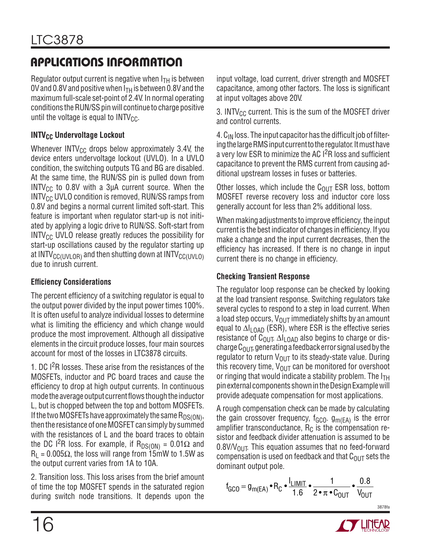Regulator output current is negative when  $I_{TH}$  is between 0V and 0.8V and positive when  $I<sub>TH</sub>$  is between 0.8V and the maximum full-scale set-point of 2.4V. In normal operating conditions the RUN/SS pin will continue to charge positive until the voltage is equal to  $INTV_{CC}$ .

#### **INTV<sub>CC</sub>** Undervoltage Lockout

Whenever INTV $_{\text{CC}}$  drops below approximately 3.4V, the device enters undervoltage lockout (UVLO). In a UVLO condition, the switching outputs TG and BG are disabled. At the same time, the RUN/SS pin is pulled down from  $INTV_{CC}$  to 0.8V with a 3µA current source. When the  $INTV<sub>CC</sub>$  UVLO condition is removed, RUN/SS ramps from 0.8V and begins a normal current limited soft-start. This feature is important when regulator start-up is not initiated by applying a logic drive to RUN/SS. Soft-start from  $INTV_{CC}$  UVLO release greatly reduces the possibility for start-up oscillations caused by the regulator starting up at INTV $_{\text{CC}}$ (UVLOR) and then shutting down at INTV $_{\text{CC}}$ (UVLO) due to inrush current.

#### **Efficiency Considerations**

The percent efficiency of a switching regulator is equal to the output power divided by the input power times 100%. It is often useful to analyze individual losses to determine what is limiting the efficiency and which change would produce the most improvement. Although all dissipative elements in the circuit produce losses, four main sources account for most of the losses in LTC3878 circuits.

1. DC I<sup>2</sup>R losses. These arise from the resistances of the MOSFETs, inductor and PC board traces and cause the efficiency to drop at high output currents. In continuous mode the average output current flows though the inductor L, but is chopped between the top and bottom MOSFETs. If the two MOSFETs have approximately the same  $R_{DS(ON)}$ , then the resistance of oneMOSFET can simply by summed with the resistances of L and the board traces to obtain the DC I<sup>2</sup>R loss. For example, if R<sub>DS(ON)</sub> = 0.01Ω and  $R_1 = 0.005\Omega$ , the loss will range from 15mW to 1.5W as the output current varies from 1A to 10A.

2. Transition loss. This loss arises from the brief amount of time the top MOSFET spends in the saturated region during switch node transitions. It depends upon the input voltage, load current, driver strength and MOSFET capacitance, among other factors. The loss is significant at input voltages above 20V.

3. INTV $_{\rm CC}$  current. This is the sum of the MOSFET driver and control currents.

4.  $C_{\text{IN}}$  loss. The input capacitor has the difficult job of filtering the large RMS input current to the regulator. It must have a very low ESR to minimize the AC I<sup>2</sup>R loss and sufficient capacitance to prevent the RMS current from causing additional upstream losses in fuses or batteries.

Other losses, which include the  $C_{OIII}$  ESR loss, bottom MOSFET reverse recovery loss and inductor core loss generally account for less than 2% additional loss.

When making adjustments to improve efficiency, the input current is the best indicator of changes in efficiency. If you make a change and the input current decreases, then the efficiency has increased. If there is no change in input current there is no change in efficiency.

#### **Checking Transient Response**

The regulator loop response can be checked by looking at the load transient response. Switching regulators take several cycles to respond to a step in load current. When a load step occurs,  $V_{OUT}$  immediately shifts by an amount equal to  $\Delta I_{\text{LOAD}}$  (ESR), where ESR is the effective series resistance of C<sub>OUT</sub>.  $\Delta I_{\text{LOAD}}$  also begins to charge or discharge  $C_{\text{OUT}}$  generating a feedback error signal used by the regulator to return  $V_{\text{OUT}}$  to its steady-state value. During this recovery time,  $V_{\text{OUT}}$  can be monitored for overshoot or ringing that would indicate a stability problem. The  $I_{TH}$ pinexternal components shownintheDesignExamplewill provide adequate compensation for most applications.

A rough compensation check can be made by calculating the gain crossover frequency,  $f_{GCO}$ .  $g_{m(EA)}$  is the error amplifier transconductance,  $R_C$  is the compensation resistor and feedback divider attenuation is assumed to be  $0.8$ V/V<sub>OUT</sub>. This equation assumes that no feed-forward compensation is used on feedback and that  $C_{OUT}$  sets the dominant output pole.

$$
f_{GCO} = g_{m(EA)} \bullet R_C \bullet \frac{I_{LIMIT}}{1.6} \bullet \frac{1}{2 \bullet \pi \bullet C_{OUT}} \bullet \frac{0.8}{V_{OUT}}
$$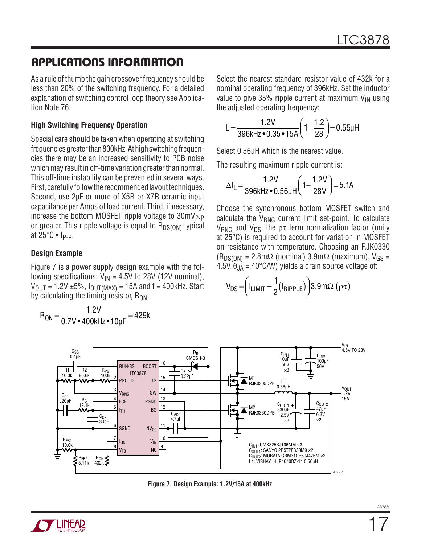As a rule of thumb the gain crossover frequency should be less than 20% of the switching frequency. For a detailed explanation of switching control loop theory see Application Note 76.

#### **High Switching Frequency Operation**

Special care should be taken when operating at switching frequencies greater than 800kHz. At high switching frequencies there may be an increased sensitivity to PCB noise which may result in off-time variation greater than normal. This off-time instability can be prevented in several ways. First, carefully follow the recommended layout techniques. Second, use 2µF or more of X5R or X7R ceramic input capacitance per Amps of load current. Third, if necessary, increase the bottom MOSFET ripple voltage to  $30mV_{P-P}$ or greater. This ripple voltage is equal to  $R_{DS(ON)}$  typical at  $25^{\circ}$ C • Ip-p.

#### **Design Example**

Figure 7 is a power supply design example with the following specifications:  $V_{IN} = 4.5V$  to 28V (12V nominal),  $V_{\text{OUT}} = 1.2V \pm 5\%$ ,  $I_{\text{OUT}}(MAX) = 15A$  and  $f = 400kHz$ . Start by calculating the timing resistor,  $R_{ON}$ :

$$
R_{\text{ON}} = \frac{1.2V}{0.7V \cdot 400kHz \cdot 10pF} = 429k
$$

Select the nearest standard resistor value of 432k for a nominal operating frequency of 396kHz. Set the inductor value to give 35% ripple current at maximum  $V_{1N}$  using the adjusted operating frequency:

$$
L = \frac{1.2V}{396kHz \cdot 0.35 \cdot 15A} \left(1 - \frac{1.2}{28}\right) = 0.55\mu H
$$

Select 0.56µH which is the nearest value.

The resulting maximum ripple current is:

$$
\Delta I_{L} = \frac{1.2V}{396kHz \cdot 0.56\mu H} \left(1 - \frac{1.2V}{28V}\right) = 5.1A
$$

Choose the synchronous bottom MOSFET switch and calculate the  $V_{RNG}$  current limit set-point. To calculate V<sub>RNG</sub> and V<sub>DS</sub>, the  $p\tau$  term normalization factor (unity at 25°C) is required to account for variation in MOSFET on-resistance with temperature. Choosing an RJK0330  $(R_{DS(ON)} = 2.8 \text{m}\Omega$  (nominal) 3.9m $\Omega$  (maximum), V<sub>GS</sub> = 4.5V,  $\theta_{JA} = 40^{\circ}$ C/W) yields a drain source voltage of:

$$
V_{DS} = \left(I_{LIMIT} - \frac{1}{2}(I_{RIPPLE})\right)3.9 \text{m}\Omega \text{ (pt)}
$$



**Figure 7. Design Example: 1.2V/15A at 400kHz**

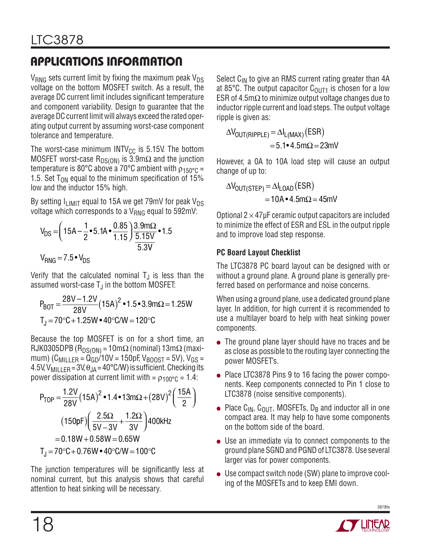$V_{RNG}$  sets current limit by fixing the maximum peak  $V_{DS}$ voltage on the bottom MOSFET switch. As a result, the average DC current limit includes significant temperature and component variability. Design to guarantee that the averageDC current limitwill always exceed the rated operating output current by assuming worst-case component tolerance and temperature.

The worst-case minimum  $INTV_{CC}$  is 5.15V. The bottom MOSFET worst-case R<sub>DS(ON)</sub> is 3.9m $\Omega$  and the junction temperature is 80°C above a 70°C ambient with  $\rho_{150°C}$  = 1.5. Set  $T_{ON}$  equal to the minimum specification of 15% low and the inductor 15% high.

By setting  $I_{LIMIT}$  equal to 15A we get 79mV for peak V<sub>DS</sub> voltage which corresponds to a  $V_{RNG}$  equal to 592mV:

$$
V_{DS} = \left(15A - \frac{1}{2} \cdot 5.1A \cdot \frac{0.85}{1.15}\right) \frac{3.9 \text{ m}\Omega}{\frac{5.15 \text{ V}}{5.3 \text{ V}}}
$$
 \cdot 1.5  
\n
$$
V_{RNG} = 7.5 \cdot V_{DS}
$$

Verify that the calculated nominal  $T_{\rm J}$  is less than the assumed worst-case  $T_J$  in the bottom MOSFET:

$$
P_{BOT} = \frac{28V - 1.2V}{28V} (15A)^{2} \cdot 1.5 \cdot 3.9m\Omega = 1.25W
$$
  
T<sub>J</sub> = 70°C + 1.25W \cdot 40°C/W = 120°C

Because the top MOSFET is on for a short time, an RJK0305DPB (R<sub>DS(ON)</sub> = 10m $\Omega$  (nominal) 13m $\Omega$  (maximum) (C<sub>MILLER</sub> =  $Q_{GD}/10V = 150pF$ , V<sub>BOOST</sub> = 5V), V<sub>GS</sub> = 4.5V, V<sub>MILLER</sub> = 3V,  $\theta_{JA}$  = 40°C/W) is sufficient. Checking its power dissipation at current limit with =  $\rho_{100^{\circ}C}$  = 1.4:

$$
P_{TOP} = \frac{1.2V}{28V} (15A)^{2} \cdot 1.4 \cdot 13m\Omega + (28V)^{2} \left(\frac{15A}{2}\right)
$$

$$
(150pF) \left(\frac{2.5\Omega}{5V - 3V} + \frac{1.2\Omega}{3V}\right) 400kHz
$$

$$
= 0.18W + 0.58W = 0.65W
$$

$$
T_{J} = 70 {}^{\circ}C + 0.76W \cdot 40 {}^{\circ}C/W = 100 {}^{\circ}C
$$

The junction temperatures will be significantly less at nominal current, but this analysis shows that careful attention to heat sinking will be necessary.

Select  $C_{\text{IN}}$  to give an RMS current rating greater than 4A at 85°C. The output capacitor  $C_{\text{OUT1}}$  is chosen for a low ESR of 4.5m $\Omega$  to minimize output voltage changes due to inductor ripple current and load steps. The output voltage ripple is given as:

$$
\Delta V_{\text{OUT(RIPPLE)}} = \Delta I_{\text{L(MAX)}} (\text{ESR})
$$
  
= 5.1•4.5mΩ = 23mV

However, a 0A to 10A load step will cause an output change of up to:

$$
\Delta V_{\text{OUT(STEP)}} = \Delta I_{\text{LOAD}} (\text{ESR})
$$
  
= 10A • 4.5mΩ = 45mV

Optional  $2 \times 47$ µF ceramic output capacitors are included to minimize the effect of ESR and ESL in the output ripple and to improve load step response.

#### **PC Board Layout Checklist**

The LTC3878 PC board layout can be designed with or without a ground plane. A ground plane is generally preferred based on performance and noise concerns.

When using a ground plane, use a dedicated ground plane layer. In addition, for high current it is recommended to use a multilayer board to help with heat sinking power components.

- The ground plane layer should have no traces and be as close as possible to the routing layer connecting the power MOSFET's.
- Place LTC3878 Pins 9 to 16 facing the power components. Keep components connected to Pin 1 close to LTC3878 (noise sensitive components).
- Place  $C_{IN}$ ,  $C_{OUT}$ , MOSFETs,  $D_B$  and inductor all in one compact area. It may help to have some components on the bottom side of the board.
- $\bullet$  Use an immediate via to connect components to the ground plane SGND and PGND of LTC3878. Use several larger vias for power components.
- $\bullet$  Use compact switch node (SW) plane to improve cooling of the MOSFETs and to keep EMI down.

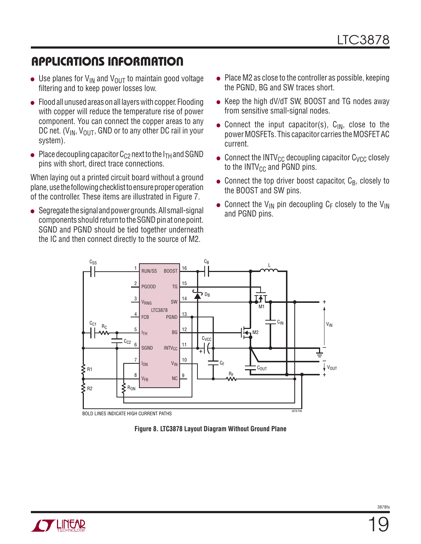- Use planes for  $V_{IN}$  and  $V_{OUT}$  to maintain good voltage filtering and to keep power losses low.
- $\bullet$  Flood all unused areas on all layers with copper. Flooding with copper will reduce the temperature rise of power component. You can connect the copper areas to any DC net. ( $V_{IN}$ ,  $V_{OUT}$ , GND or to any other DC rail in your system).
- Place decoupling capacitor  $C_{C2}$  next to the I<sub>TH</sub> and SGND pins with short, direct trace connections.

When laying out a printed circuit board without a ground plane, use the following checklist to ensure proper operation of the controller. These items are illustrated in Figure 7.

 $\bullet$  Segregate the signal and power grounds. All small-signal components should return to the SGND pin at one point. SGND and PGND should be tied together underneath the IC and then connect directly to the source of M2.

- $\bullet$  Place M2 as close to the controller as possible, keeping the PGND, BG and SW traces short.
- $\bullet$  Keep the high dV/dT SW, BOOST and TG nodes away from sensitive small-signal nodes.
- Connect the input capacitor(s),  $C_{IN}$ , close to the power MOSFETs. This capacitor carries the MOSFET AC current.
- Connect the INTV<sub>CC</sub> decoupling capacitor C<sub>VCC</sub> closely to the  $INTV_{CC}$  and PGND pins.
- Connect the top driver boost capacitor,  $C_B$ , closely to the BOOST and SW pins.
- Connect the V<sub>IN</sub> pin decoupling C<sub>F</sub> closely to the V<sub>IN</sub> and PGND pins.



**Figure 8. LTC3878 Layout Diagram Without Ground Plane**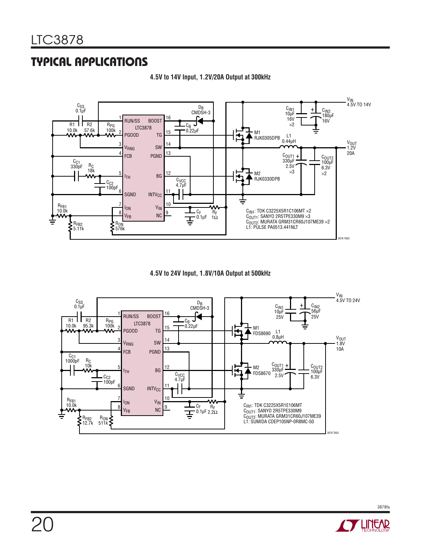

**4.5V to 14V Input, 1.2V/20A Output at 300kHz**





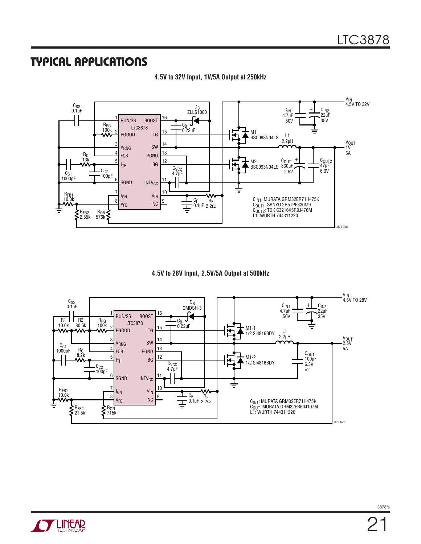

**4.5V to 32V Input, 1V/5A Output at 250kHz**

**4.5V to 28V Input, 2.5V/5A Output at 500kHz**

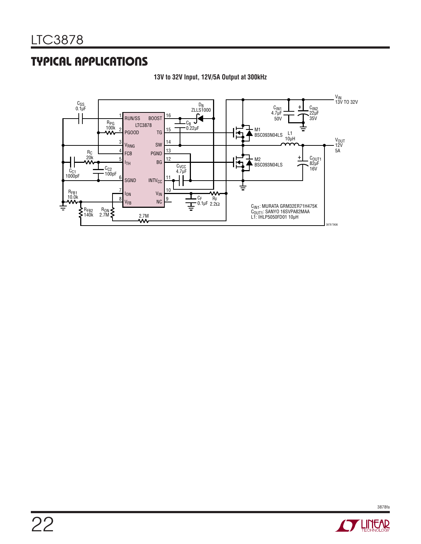

**13V to 32V Input, 12V/5A Output at 300kHz**

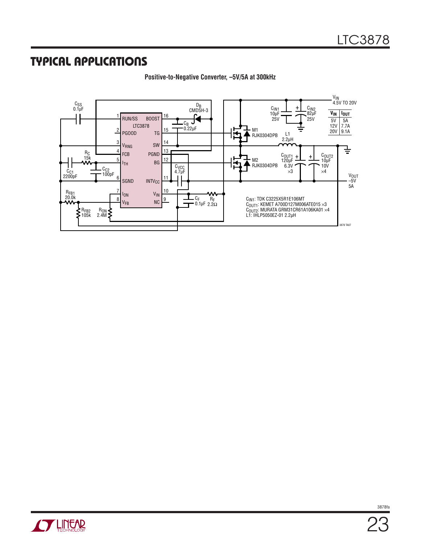

**Positive-to-Negative Converter, –5V/5A at 300kHz**

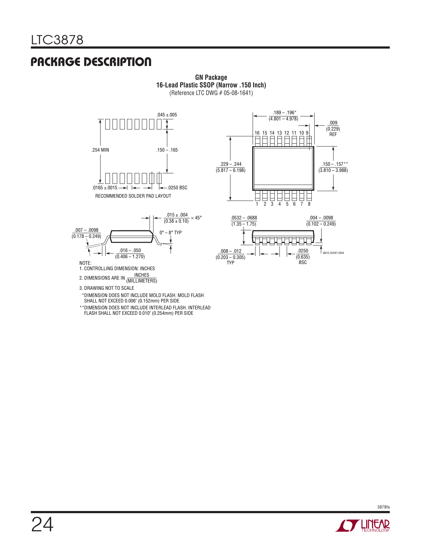# Package Description

**GN Package 16-Lead Plastic SSOP (Narrow .150 Inch)** (Reference LTC DWG # 05-08-1641)







3. DRAWING NOT TO SCALE

- \* DIMENSION DOES NOT INCLUDE MOLD FLASH. MOLD FLASH SHALL NOT EXCEED 0.006" (0.152mm) PER SIDE
- \*\* DIMENSION DOES NOT INCLUDE INTERLEAD FLASH. INTERLEAD FLASH SHALL NOT EXCEED 0.010" (0.254mm) PER SIDE

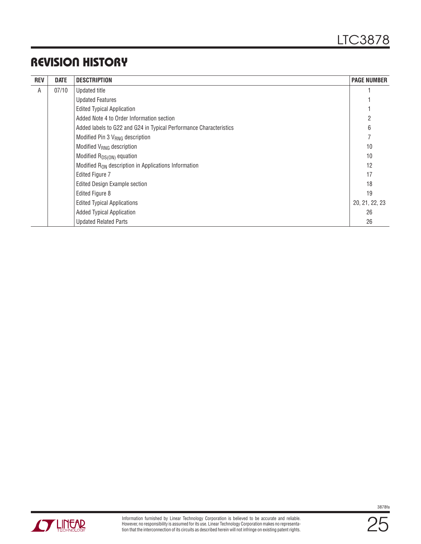# Revision History

| <b>REV</b> | <b>DATE</b> | <b>DESCTRIPTION</b>                                                | <b>PAGE NUMBER</b> |
|------------|-------------|--------------------------------------------------------------------|--------------------|
| A          | 07/10       | Updated title                                                      |                    |
|            |             | <b>Updated Features</b>                                            |                    |
|            |             | <b>Edited Typical Application</b>                                  |                    |
|            |             | Added Note 4 to Order Information section                          | 2                  |
|            |             | Added labels to G22 and G24 in Typical Performance Characteristics | 6                  |
|            |             | Modified Pin 3 V <sub>RNG</sub> description                        |                    |
|            |             | Modified V <sub>RNG</sub> description                              | 10                 |
|            |             | Modified R <sub>DS(ON)</sub> equation                              | 10                 |
|            |             | Modified R <sub>ON</sub> description in Applications Information   | 12                 |
|            |             | <b>Edited Figure 7</b>                                             | 17                 |
|            |             | <b>Edited Design Example section</b>                               | 18                 |
|            |             | Edited Figure 8                                                    | 19                 |
|            |             | <b>Edited Typical Applications</b>                                 | 20, 21, 22, 23     |
|            |             | <b>Added Typical Application</b>                                   | 26                 |
|            |             | <b>Updated Related Parts</b>                                       | 26                 |